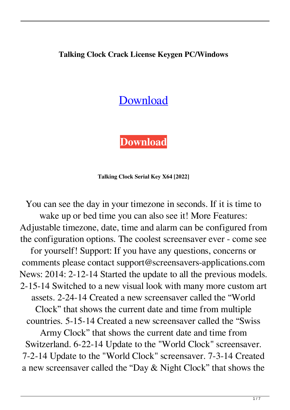### **Talking Clock Crack License Keygen PC/Windows**

# [Download](http://evacdir.com/citizenry.clocksmith/VGFsa2luZyBDbG9jawVGF/drain/freewheeling/htdv.tiggo/ZG93bmxvYWR8TzlyYTJ4emZId3hOalUwTlRJeU1URXdmSHd5TlRrd2ZId29UU2tnVjI5eVpIQnlaWE56SUZ0WVRVeFNVRU1nVmpJZ1VFUkdYUQ.jennewein)

**[Download](http://evacdir.com/citizenry.clocksmith/VGFsa2luZyBDbG9jawVGF/drain/freewheeling/htdv.tiggo/ZG93bmxvYWR8TzlyYTJ4emZId3hOalUwTlRJeU1URXdmSHd5TlRrd2ZId29UU2tnVjI5eVpIQnlaWE56SUZ0WVRVeFNVRU1nVmpJZ1VFUkdYUQ.jennewein)**

**Talking Clock Serial Key X64 [2022]**

You can see the day in your timezone in seconds. If it is time to wake up or bed time you can also see it! More Features: Adjustable timezone, date, time and alarm can be configured from the configuration options. The coolest screensaver ever - come see for yourself! Support: If you have any questions, concerns or comments please contact support@screensavers-applications.com News: 2014: 2-12-14 Started the update to all the previous models. 2-15-14 Switched to a new visual look with many more custom art assets. 2-24-14 Created a new screensaver called the "World Clock" that shows the current date and time from multiple countries. 5-15-14 Created a new screensaver called the "Swiss Army Clock" that shows the current date and time from Switzerland. 6-22-14 Update to the "World Clock" screensaver. 7-2-14 Update to the "World Clock" screensaver. 7-3-14 Created a new screensaver called the "Day & Night Clock" that shows the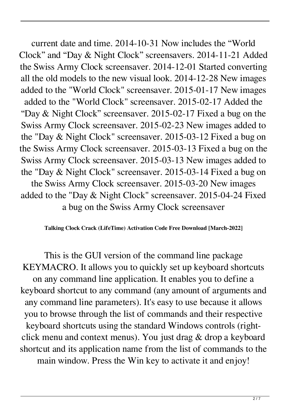current date and time. 2014-10-31 Now includes the "World Clock" and "Day & Night Clock" screensavers. 2014-11-21 Added the Swiss Army Clock screensaver. 2014-12-01 Started converting all the old models to the new visual look. 2014-12-28 New images added to the "World Clock" screensaver. 2015-01-17 New images added to the "World Clock" screensaver. 2015-02-17 Added the "Day & Night Clock" screensaver. 2015-02-17 Fixed a bug on the Swiss Army Clock screensaver. 2015-02-23 New images added to the "Day & Night Clock" screensaver. 2015-03-12 Fixed a bug on the Swiss Army Clock screensaver. 2015-03-13 Fixed a bug on the Swiss Army Clock screensaver. 2015-03-13 New images added to the "Day & Night Clock" screensaver. 2015-03-14 Fixed a bug on the Swiss Army Clock screensaver. 2015-03-20 New images added to the "Day & Night Clock" screensaver. 2015-04-24 Fixed a bug on the Swiss Army Clock screensaver

#### **Talking Clock Crack (LifeTime) Activation Code Free Download [March-2022]**

This is the GUI version of the command line package KEYMACRO. It allows you to quickly set up keyboard shortcuts on any command line application. It enables you to define a keyboard shortcut to any command (any amount of arguments and any command line parameters). It's easy to use because it allows you to browse through the list of commands and their respective keyboard shortcuts using the standard Windows controls (rightclick menu and context menus). You just drag & drop a keyboard shortcut and its application name from the list of commands to the main window. Press the Win key to activate it and enjoy!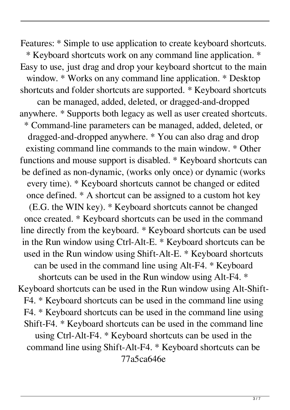Features: \* Simple to use application to create keyboard shortcuts. \* Keyboard shortcuts work on any command line application. \* Easy to use, just drag and drop your keyboard shortcut to the main window. \* Works on any command line application. \* Desktop shortcuts and folder shortcuts are supported. \* Keyboard shortcuts can be managed, added, deleted, or dragged-and-dropped anywhere. \* Supports both legacy as well as user created shortcuts. \* Command-line parameters can be managed, added, deleted, or dragged-and-dropped anywhere. \* You can also drag and drop existing command line commands to the main window. \* Other functions and mouse support is disabled. \* Keyboard shortcuts can be defined as non-dynamic, (works only once) or dynamic (works every time). \* Keyboard shortcuts cannot be changed or edited once defined. \* A shortcut can be assigned to a custom hot key (E.G. the WIN key). \* Keyboard shortcuts cannot be changed once created. \* Keyboard shortcuts can be used in the command line directly from the keyboard. \* Keyboard shortcuts can be used in the Run window using Ctrl-Alt-E. \* Keyboard shortcuts can be used in the Run window using Shift-Alt-E. \* Keyboard shortcuts can be used in the command line using Alt-F4. \* Keyboard shortcuts can be used in the Run window using Alt-F4. \* Keyboard shortcuts can be used in the Run window using Alt-Shift-F4. \* Keyboard shortcuts can be used in the command line using F4. \* Keyboard shortcuts can be used in the command line using Shift-F4. \* Keyboard shortcuts can be used in the command line using Ctrl-Alt-F4. \* Keyboard shortcuts can be used in the command line using Shift-Alt-F4. \* Keyboard shortcuts can be 77a5ca646e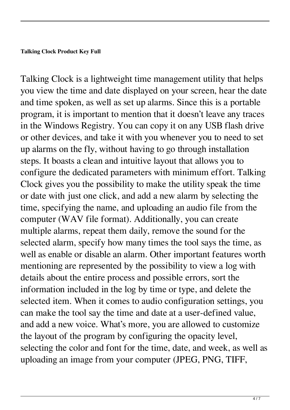Talking Clock is a lightweight time management utility that helps you view the time and date displayed on your screen, hear the date and time spoken, as well as set up alarms. Since this is a portable program, it is important to mention that it doesn't leave any traces in the Windows Registry. You can copy it on any USB flash drive or other devices, and take it with you whenever you to need to set up alarms on the fly, without having to go through installation steps. It boasts a clean and intuitive layout that allows you to configure the dedicated parameters with minimum effort. Talking Clock gives you the possibility to make the utility speak the time or date with just one click, and add a new alarm by selecting the time, specifying the name, and uploading an audio file from the computer (WAV file format). Additionally, you can create multiple alarms, repeat them daily, remove the sound for the selected alarm, specify how many times the tool says the time, as well as enable or disable an alarm. Other important features worth mentioning are represented by the possibility to view a log with details about the entire process and possible errors, sort the information included in the log by time or type, and delete the selected item. When it comes to audio configuration settings, you can make the tool say the time and date at a user-defined value, and add a new voice. What's more, you are allowed to customize the layout of the program by configuring the opacity level, selecting the color and font for the time, date, and week, as well as uploading an image from your computer (JPEG, PNG, TIFF,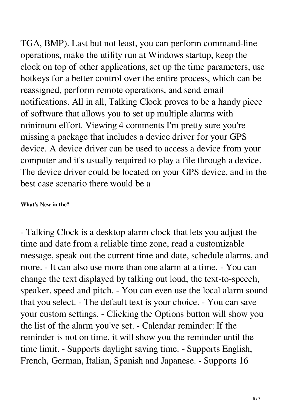TGA, BMP). Last but not least, you can perform command-line operations, make the utility run at Windows startup, keep the clock on top of other applications, set up the time parameters, use hotkeys for a better control over the entire process, which can be reassigned, perform remote operations, and send email notifications. All in all, Talking Clock proves to be a handy piece of software that allows you to set up multiple alarms with minimum effort. Viewing 4 comments I'm pretty sure you're missing a package that includes a device driver for your GPS device. A device driver can be used to access a device from your computer and it's usually required to play a file through a device. The device driver could be located on your GPS device, and in the best case scenario there would be a

#### **What's New in the?**

- Talking Clock is a desktop alarm clock that lets you adjust the time and date from a reliable time zone, read a customizable message, speak out the current time and date, schedule alarms, and more. - It can also use more than one alarm at a time. - You can change the text displayed by talking out loud, the text-to-speech, speaker, speed and pitch. - You can even use the local alarm sound that you select. - The default text is your choice. - You can save your custom settings. - Clicking the Options button will show you the list of the alarm you've set. - Calendar reminder: If the reminder is not on time, it will show you the reminder until the time limit. - Supports daylight saving time. - Supports English, French, German, Italian, Spanish and Japanese. - Supports 16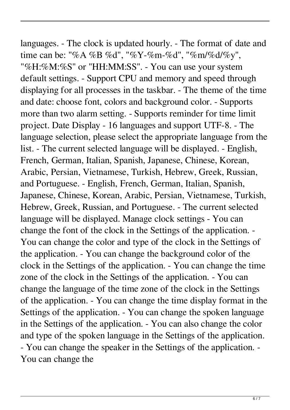languages. - The clock is updated hourly. - The format of date and time can be: "%A %B %d", "%Y-%m-%d", "%m/%d/%y", "%H:%M:%S" or "HH:MM:SS". - You can use your system default settings. - Support CPU and memory and speed through displaying for all processes in the taskbar. - The theme of the time and date: choose font, colors and background color. - Supports more than two alarm setting. - Supports reminder for time limit project. Date Display - 16 languages and support UTF-8. - The language selection, please select the appropriate language from the list. - The current selected language will be displayed. - English, French, German, Italian, Spanish, Japanese, Chinese, Korean, Arabic, Persian, Vietnamese, Turkish, Hebrew, Greek, Russian, and Portuguese. - English, French, German, Italian, Spanish, Japanese, Chinese, Korean, Arabic, Persian, Vietnamese, Turkish, Hebrew, Greek, Russian, and Portuguese. - The current selected language will be displayed. Manage clock settings - You can change the font of the clock in the Settings of the application. - You can change the color and type of the clock in the Settings of the application. - You can change the background color of the clock in the Settings of the application. - You can change the time zone of the clock in the Settings of the application. - You can change the language of the time zone of the clock in the Settings of the application. - You can change the time display format in the Settings of the application. - You can change the spoken language in the Settings of the application. - You can also change the color and type of the spoken language in the Settings of the application. - You can change the speaker in the Settings of the application. - You can change the